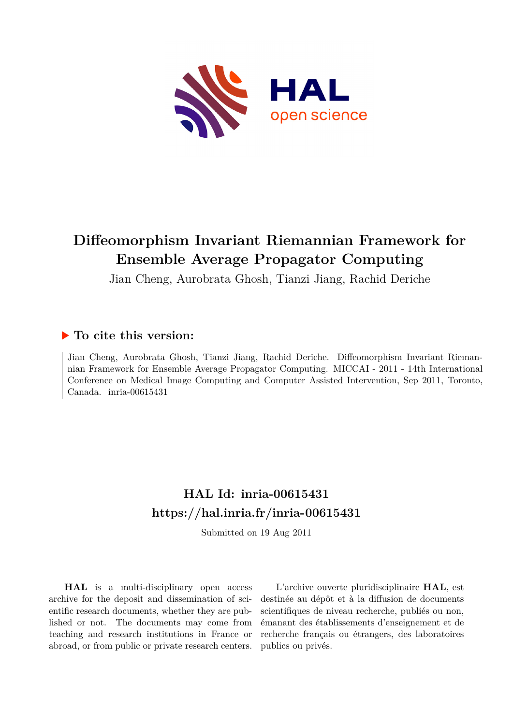

# **Diffeomorphism Invariant Riemannian Framework for Ensemble Average Propagator Computing**

Jian Cheng, Aurobrata Ghosh, Tianzi Jiang, Rachid Deriche

# **To cite this version:**

Jian Cheng, Aurobrata Ghosh, Tianzi Jiang, Rachid Deriche. Diffeomorphism Invariant Riemannian Framework for Ensemble Average Propagator Computing. MICCAI - 2011 - 14th International Conference on Medical Image Computing and Computer Assisted Intervention, Sep 2011, Toronto, Canada. inria-00615431

# **HAL Id: inria-00615431 <https://hal.inria.fr/inria-00615431>**

Submitted on 19 Aug 2011

**HAL** is a multi-disciplinary open access archive for the deposit and dissemination of scientific research documents, whether they are published or not. The documents may come from teaching and research institutions in France or abroad, or from public or private research centers.

L'archive ouverte pluridisciplinaire **HAL**, est destinée au dépôt et à la diffusion de documents scientifiques de niveau recherche, publiés ou non, émanant des établissements d'enseignement et de recherche français ou étrangers, des laboratoires publics ou privés.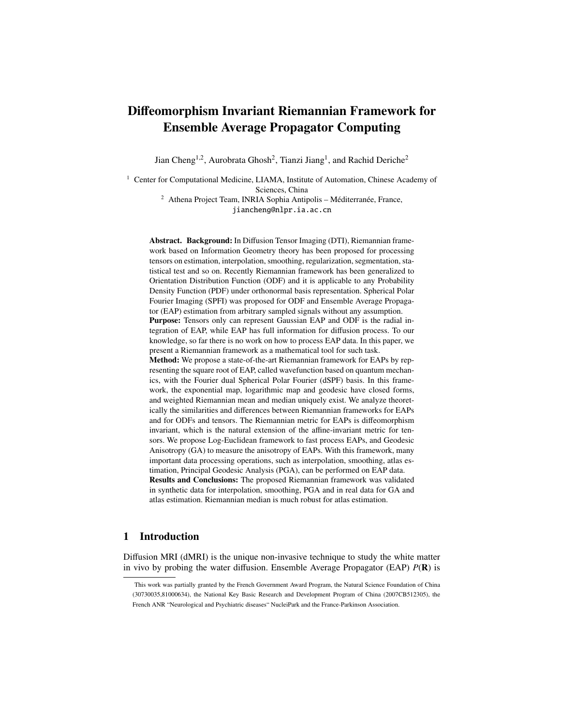# Diffeomorphism Invariant Riemannian Framework for Ensemble Average Propagator Computing

Jian Cheng<sup>1,2</sup>, Aurobrata Ghosh<sup>2</sup>, Tianzi Jiang<sup>1</sup>, and Rachid Deriche<sup>2</sup>

<sup>1</sup> Center for Computational Medicine, LIAMA, Institute of Automation, Chinese Academy of Sciences, China

> $2$  Athena Project Team, INRIA Sophia Antipolis – Méditerranée, France, jiancheng@nlpr.ia.ac.cn

Abstract. Background: In Diffusion Tensor Imaging (DTI), Riemannian framework based on Information Geometry theory has been proposed for processing tensors on estimation, interpolation, smoothing, regularization, segmentation, statistical test and so on. Recently Riemannian framework has been generalized to Orientation Distribution Function (ODF) and it is applicable to any Probability Density Function (PDF) under orthonormal basis representation. Spherical Polar Fourier Imaging (SPFI) was proposed for ODF and Ensemble Average Propagator (EAP) estimation from arbitrary sampled signals without any assumption. Purpose: Tensors only can represent Gaussian EAP and ODF is the radial integration of EAP, while EAP has full information for diffusion process. To our knowledge, so far there is no work on how to process EAP data. In this paper, we present a Riemannian framework as a mathematical tool for such task. Method: We propose a state-of-the-art Riemannian framework for EAPs by representing the square root of EAP, called wavefunction based on quantum mechanics, with the Fourier dual Spherical Polar Fourier (dSPF) basis. In this framework, the exponential map, logarithmic map and geodesic have closed forms, and weighted Riemannian mean and median uniquely exist. We analyze theoretically the similarities and differences between Riemannian frameworks for EAPs and for ODFs and tensors. The Riemannian metric for EAPs is diffeomorphism invariant, which is the natural extension of the affine-invariant metric for tensors. We propose Log-Euclidean framework to fast process EAPs, and Geodesic Anisotropy (GA) to measure the anisotropy of EAPs. With this framework, many important data processing operations, such as interpolation, smoothing, atlas estimation, Principal Geodesic Analysis (PGA), can be performed on EAP data. Results and Conclusions: The proposed Riemannian framework was validated in synthetic data for interpolation, smoothing, PGA and in real data for GA and atlas estimation. Riemannian median is much robust for atlas estimation.

## 1 Introduction

Diffusion MRI (dMRI) is the unique non-invasive technique to study the white matter in vivo by probing the water diffusion. Ensemble Average Propagator (EAP)  $P(\mathbf{R})$  is

This work was partially granted by the French Government Award Program, the Natural Science Foundation of China (30730035,81000634), the National Key Basic Research and Development Program of China (2007CB512305), the French ANR "Neurological and Psychiatric diseases" NucleiPark and the France-Parkinson Association.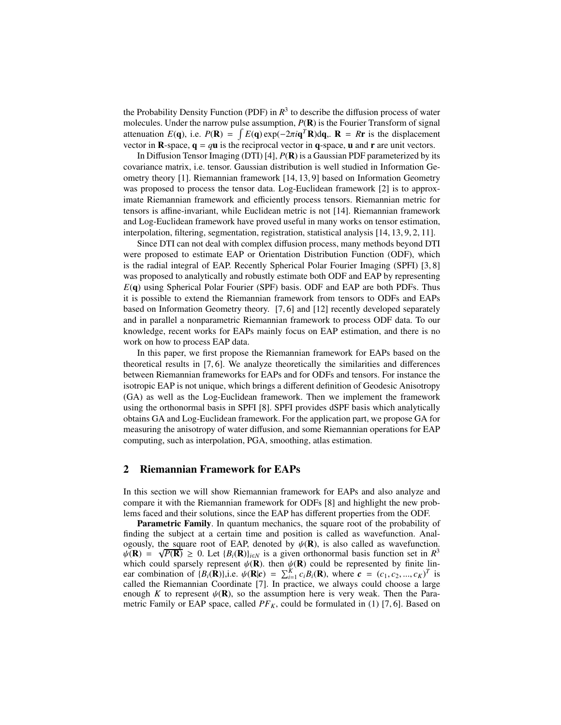the Probability Density Function (PDF) in  $R<sup>3</sup>$  to describe the diffusion process of water molecules. Under the narrow pulse assumption,  $P(\mathbf{R})$  is the Fourier Transform of signal attenuation  $E(\mathbf{q})$ , i.e.  $P(\mathbf{R}) = \int E(\mathbf{q}) \exp(-2\pi i \mathbf{q}^T \mathbf{R}) d\mathbf{q}$ .  $\mathbf{R} = R\mathbf{r}$  is the displacement vector in **R**-space,  $q = qu$  is the reciprocal vector in q-space, u and **r** are unit vectors.

In Diffusion Tensor Imaging (DTI) [4], *P*(R) is a Gaussian PDF parameterized by its covariance matrix, i.e. tensor. Gaussian distribution is well studied in Information Geometry theory [1]. Riemannian framework [14, 13, 9] based on Information Geometry was proposed to process the tensor data. Log-Euclidean framework [2] is to approximate Riemannian framework and efficiently process tensors. Riemannian metric for tensors is affine-invariant, while Euclidean metric is not [14]. Riemannian framework and Log-Euclidean framework have proved useful in many works on tensor estimation, interpolation, filtering, segmentation, registration, statistical analysis [14, 13, 9, 2, 11].

Since DTI can not deal with complex diffusion process, many methods beyond DTI were proposed to estimate EAP or Orientation Distribution Function (ODF), which is the radial integral of EAP. Recently Spherical Polar Fourier Imaging (SPFI) [3, 8] was proposed to analytically and robustly estimate both ODF and EAP by representing *E*(q) using Spherical Polar Fourier (SPF) basis. ODF and EAP are both PDFs. Thus it is possible to extend the Riemannian framework from tensors to ODFs and EAPs based on Information Geometry theory. [7, 6] and [12] recently developed separately and in parallel a nonparametric Riemannian framework to process ODF data. To our knowledge, recent works for EAPs mainly focus on EAP estimation, and there is no work on how to process EAP data.

In this paper, we first propose the Riemannian framework for EAPs based on the theoretical results in [7, 6]. We analyze theoretically the similarities and differences between Riemannian frameworks for EAPs and for ODFs and tensors. For instance the isotropic EAP is not unique, which brings a different definition of Geodesic Anisotropy (GA) as well as the Log-Euclidean framework. Then we implement the framework using the orthonormal basis in SPFI [8]. SPFI provides dSPF basis which analytically obtains GA and Log-Euclidean framework. For the application part, we propose GA for measuring the anisotropy of water diffusion, and some Riemannian operations for EAP computing, such as interpolation, PGA, smoothing, atlas estimation.

#### 2 Riemannian Framework for EAPs

In this section we will show Riemannian framework for EAPs and also analyze and compare it with the Riemannian framework for ODFs [8] and highlight the new problems faced and their solutions, since the EAP has different properties from the ODF.

Parametric Family. In quantum mechanics, the square root of the probability of finding the subject at a certain time and position is called as wavefunction. Analogously, the square root of EAP, denoted by  $\psi(\mathbf{R})$ , is also called as wavefunction.  $\psi(\mathbf{R}) = \sqrt{P(\mathbf{R})} \ge 0$ . Let  $\{B_i(\mathbf{R})\}_{i \in N}$  is a given orthonormal basis function set in  $R^3$ which could sparsely represent  $\psi(\mathbf{R})$ . then  $\psi(\mathbf{R})$  could be represented by finite linear combination of  $\{B_i(\mathbf{R})\}\)$ ,i.e.  $\psi(\mathbf{R}|\mathbf{c}) = \sum_{i=1}^K c_i B_i(\mathbf{R})$ , where  $\mathbf{c} = (c_1, c_2, ..., c_K)^T$  is called the Riemannian Coordinate [7]. In practice, we always could choose a large enough *K* to represent  $\psi(\mathbf{R})$ , so the assumption here is very weak. Then the Parametric Family or EAP space, called  $PF_K$ , could be formulated in (1) [7, 6]. Based on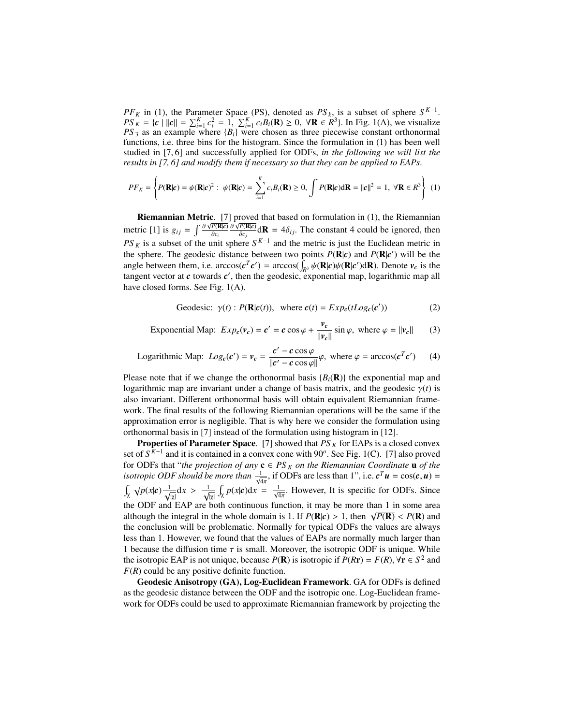*PF*<sub>*K*</sub> in (1), the Parameter Space (PS), denoted as  $PS_k$ , is a subset of sphere  $S^{K-1}$ .  $PS_K = \{c \mid ||c|| = \sum_{i=1}^K c_i^2 = 1, \sum_{i=1}^K c_i B_i(\mathbf{R}) \ge 0, \forall \mathbf{R} \in \mathbb{R}^3\}$ . In Fig. 1(A), we visualize  $PS<sub>3</sub>$  as an example where  ${B<sub>i</sub>}$  were chosen as three piecewise constant orthonormal functions, i.e. three bins for the histogram. Since the formulation in (1) has been well studied in [7, 6] and successfully applied for ODFs, *in the following we will list the results in [7, 6] and modify them if necessary so that they can be applied to EAPs*.

$$
PF_K = \left\{ P(\mathbf{R}|\mathbf{c}) = \psi(\mathbf{R}|\mathbf{c})^2 : \ \psi(\mathbf{R}|\mathbf{c}) = \sum_{i=1}^K c_i B_i(\mathbf{R}) \ge 0, \int P(\mathbf{R}|\mathbf{c}) d\mathbf{R} = ||\mathbf{c}||^2 = 1, \ \forall \mathbf{R} \in R^3 \right\} \tag{1}
$$

Riemannian Metric. [7] proved that based on formulation in (1), the Riemannian metric [1] is  $g_{ij} = \int \frac{\partial \sqrt{P(\mathbf{R}|c)}}{\partial c_i}$  $\frac{\partial \sqrt{P(\mathbf{R}|\mathbf{c})}}{\partial c_j} d\mathbf{R} = 4\delta_{ij}$ . The constant 4 could be ignored, then  $PS_K$  is a subset of the unit sphere  $S^{K-1}$  and the metric is just the Euclidean metric in the sphere. The geodesic distance between two points  $P(\mathbf{R}|\mathbf{c})$  and  $P(\mathbf{R}|\mathbf{c}')$  will be the angle between them, i.e.  $\arccos(c^T c') = \arccos(\int_{R^3} \psi(\mathbf{R}|c) \psi(\mathbf{R}|c') d\mathbf{R})$ . Denote  $v_c$  is the tangent vector at  $c$  towards  $c'$ , then the geodesic, exponential map, logarithmic map all have closed forms. See Fig. 1(A).

Geodesic: 
$$
\gamma(t)
$$
:  $P(\mathbf{R}|\mathbf{c}(t))$ , where  $\mathbf{c}(t) = Exp_{\mathbf{c}}(tLog_{\mathbf{c}}(\mathbf{c}'))$  (2)

Exponential Map: 
$$
Exp_c(v_c) = c' = c \cos \varphi + \frac{v_c}{\|v_c\|} \sin \varphi
$$
, where  $\varphi = ||v_c||$  (3)

Logarithmic Map: 
$$
Log_c(c') = v_c = \frac{c' - c \cos \varphi}{\|c' - c \cos \varphi\|} \varphi
$$
, where  $\varphi = \arccos(c^T c')$  (4)

Please note that if we change the orthonormal basis  ${B_i(R)}$  the exponential map and logarithmic map are invariant under a change of basis matrix, and the geodesic  $\gamma(t)$  is also invariant. Different orthonormal basis will obtain equivalent Riemannian framework. The final results of the following Riemannian operations will be the same if the approximation error is negligible. That is why here we consider the formulation using orthonormal basis in [7] instead of the formulation using histogram in [12].

**Properties of Parameter Space.** [7] showed that  $PS_K$  for EAPs is a closed convex set of  $S^{K-1}$  and it is contained in a convex cone with 90<sup>o</sup>. See Fig. 1(C). [7] also proved for ODFs that "*the projection of any*  $\mathbf{c} \in PS_K$  *on the Riemannian Coordinate* **u** *of the isotropic ODF should be more than*  $\frac{1}{\sqrt{4\pi}}$ , if ODFs are less than 1", i.e.  $c^T u = \cos(c, u) =$  $\int_{\chi} \sqrt{p(x|c)} \frac{1}{\sqrt{2}}$  $\frac{1}{|x|}dx > \frac{1}{\sqrt{2}}$ |χ|  $\int_{\chi} p(x|\mathbf{c}) dx = \frac{1}{\sqrt{4\pi}}$ . However, It is specific for ODFs. Since the ODF and EAP are both continuous function, it may be more than 1 in some area although the integral in the whole domain is 1. If  $P(\mathbf{R}|c) > 1$ , then  $\sqrt{P(\mathbf{R})} < P(\mathbf{R})$  and the conclusion will be problematic. Normally for typical ODFs the values are always less than 1. However, we found that the values of EAPs are normally much larger than 1 because the diffusion time  $\tau$  is small. Moreover, the isotropic ODF is unique. While the isotropic EAP is not unique, because  $P(\mathbf{R})$  is isotropic if  $P(R\mathbf{r}) = F(R)$ ,  $\forall \mathbf{r} \in S^2$  and *F*(*R*) could be any positive definite function.

Geodesic Anisotropy (GA), Log-Euclidean Framework. GA for ODFs is defined as the geodesic distance between the ODF and the isotropic one. Log-Euclidean framework for ODFs could be used to approximate Riemannian framework by projecting the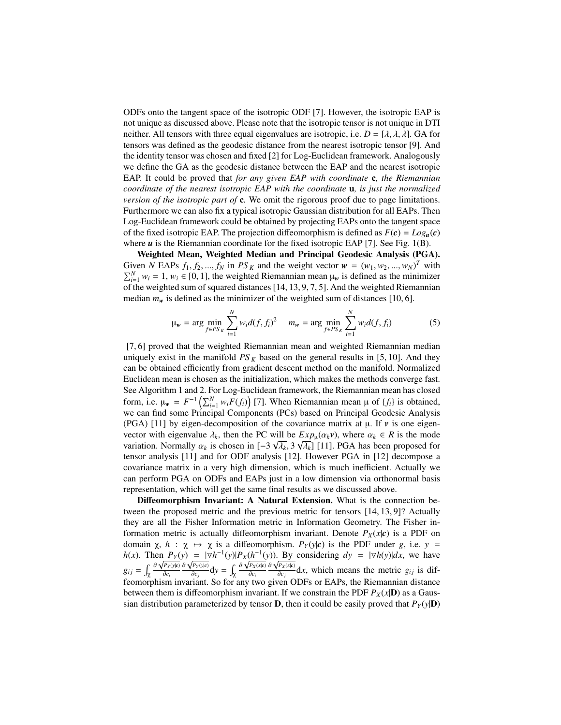ODFs onto the tangent space of the isotropic ODF [7]. However, the isotropic EAP is not unique as discussed above. Please note that the isotropic tensor is not unique in DTI neither. All tensors with three equal eigenvalues are isotropic, i.e.  $D = [\lambda, \lambda, \lambda]$ . GA for tensors was defined as the geodesic distance from the nearest isotropic tensor [9]. And the identity tensor was chosen and fixed [2] for Log-Euclidean framework. Analogously we define the GA as the geodesic distance between the EAP and the nearest isotropic EAP. It could be proved that *for any given EAP with coordinate* c*, the Riemannian coordinate of the nearest isotropic EAP with the coordinate* u*, is just the normalized version of the isotropic part of* c. We omit the rigorous proof due to page limitations. Furthermore we can also fix a typical isotropic Gaussian distribution for all EAPs. Then Log-Euclidean framework could be obtained by projecting EAPs onto the tangent space of the fixed isotropic EAP. The projection diffeomorphism is defined as  $F(c) = Log_u(c)$ where  $u$  is the Riemannian coordinate for the fixed isotropic EAP [7]. See Fig. 1(B).

Weighted Mean, Weighted Median and Principal Geodesic Analysis (PGA). Given *N* EAPs  $f_1, f_2, ..., f_N$  in  $PS_K$  and the weight vector  $\mathbf{w} = (w_1, w_2, ..., w_N)^T$  with  $\sum_{i=1}^{N} w_i = 1$ ,  $w_i \in [0, 1]$ , the weighted Riemannian mean  $\mu_w$  is defined as the minimizer of the weighted sum of squared distances [14, 13, 9, 7, 5]. And the weighted Riemannian median  $m_w$  is defined as the minimizer of the weighted sum of distances [10, 6].

$$
\mu_{w} = \arg \min_{f \in PS_{K}} \sum_{i=1}^{N} w_{i} d(f, f_{i})^{2} \quad m_{w} = \arg \min_{f \in PS_{K}} \sum_{i=1}^{N} w_{i} d(f, f_{i}) \tag{5}
$$

[7, 6] proved that the weighted Riemannian mean and weighted Riemannian median uniquely exist in the manifold  $PS<sub>K</sub>$  based on the general results in [5, 10]. And they can be obtained efficiently from gradient descent method on the manifold. Normalized Euclidean mean is chosen as the initialization, which makes the methods converge fast. See Algorithm 1 and 2. For Log-Euclidean framework, the Riemannian mean has closed form, i.e.  $\mu_w = F^{-1} \left( \sum_{i=1}^N w_i F(f_i) \right)$  [7]. When Riemannian mean  $\mu$  of  $\{f_i\}$  is obtained, we can find some Principal Components (PCs) based on Principal Geodesic Analysis (PGA) [11] by eigen-decomposition of the covariance matrix at  $\mu$ . If  $\nu$  is one eigenvector with eigenvalue  $\lambda_k$ , then the PC will be  $Exp_\mu(\alpha_k v)$ , where  $\alpha_k \in R$  is the mode variation. Normally  $\alpha_k$  is chosen in  $[-3\sqrt{\lambda_k}, 3\sqrt{\lambda_k}]$  [11]. PGA has been proposed for tensor analysis [11] and for ODF analysis [12]. However PGA in [12] decompose a covariance matrix in a very high dimension, which is much inefficient. Actually we can perform PGA on ODFs and EAPs just in a low dimension via orthonormal basis representation, which will get the same final results as we discussed above.

Diffeomorphism Invariant: A Natural Extension. What is the connection between the proposed metric and the previous metric for tensors [14, 13, 9]? Actually they are all the Fisher Information metric in Information Geometry. The Fisher information metric is actually diffeomorphism invariant. Denote  $P_X(x|\mathbf{c})$  is a PDF on domain  $\chi$ ,  $h : \chi \mapsto \chi$  is a diffeomorphism.  $P_Y(y|\mathbf{c})$  is the PDF under *g*, i.e.  $y =$ *h*(*x*). Then  $P_Y(y) = |\nabla h^{-1}(y)| P_X(h^{-1}(y))$ . By considering  $dy = |\nabla h(y)| dx$ , we have  $g_{ij} = \int_{\chi}$ ∂  $\sqrt{P_Y(y|c)}$ ∂*c<sup>i</sup>*  $\partial \sqrt{P_Y(y|c)}$  $\frac{\partial P_Y(y|c)}{\partial c_j}$ **d**y =  $\int_{\chi}$  $\partial \sqrt{P_X(x|c)}$ ∂*c<sup>i</sup>*  $\partial \sqrt{P_X(x|c)}$  $\frac{d^2x(x,y)}{dx^2}dx$ , which means the metric *g<sub>ij</sub>* is diffeomorphism invariant. So for any two given ODFs or EAPs, the Riemannian distance between them is diffeomorphism invariant. If we constrain the PDF  $P_X(x|\mathbf{D})$  as a Gaussian distribution parameterized by tensor **D**, then it could be easily proved that  $P_Y(y|\mathbf{D})$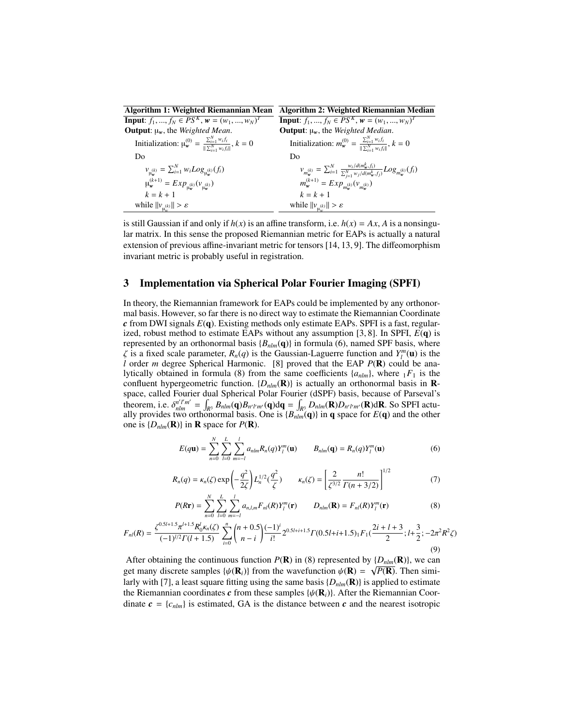| <b>Algorithm 1: Weighted Riemannian Mean</b>                                                                    | Algorithm 2: Weighted Riemannian Median                                                                                                |
|-----------------------------------------------------------------------------------------------------------------|----------------------------------------------------------------------------------------------------------------------------------------|
| <b>Input:</b> $f_1, , f_N \in PS^K$ , $w = (w_1, , w_N)^T$                                                      | <b>Input:</b> $f_1, , f_N \in PS^K$ , $w = (w_1, , w_N)^T$                                                                             |
| <b>Output</b> : $\mu_w$ , the <i>Weighted Mean</i> .                                                            | <b>Output:</b> $\mu_w$ , the <i>Weighted Median</i> .                                                                                  |
| Initialization: $\mu_{w}^{(0)} = \frac{\sum_{i=1}^{N} w_{i}f_{i}}{\  \nabla_{w}^{N} - w_{i}f_{i} \ }$ , $k = 0$ | Initialization: $m_w^{(0)} = \frac{\sum_{i=1}^{N} w_i f_i}{\  \sum_{w}^{N} w_i f_i \ }$ , $k = 0$                                      |
| Do                                                                                                              | Do                                                                                                                                     |
| $v_{\mu_{w}^{(k)}} = \sum_{i=1}^{N} w_i Log_{\mu_{w}^{(k)}}(f_i)$                                               | $v_{m_{w}^{(k)}} = \sum_{i=1}^{N} \frac{w_{i}/d(m_{w}^{k}, f_{i})}{\sum_{j=1}^{N} w_{j}/d(m_{w}^{k}, f_{j})} Log_{m_{w}^{(k)}}(f_{i})$ |
| $\mu_{w}^{(k+1)} = Exp_{u_{w}^{(k)}}(v_{u_{w}^{(k)}})$                                                          | $m_w^{(k+1)} = Exp_{m_w^{(k)}}(v_{m_w^{(k)}})$                                                                                         |
| $k = k + 1$                                                                                                     | $k = k + 1$                                                                                                                            |
| while $  v_{\mu_w^{(k)}}   > \varepsilon$                                                                       | while $  v_{\mu_{w}}   > \varepsilon$                                                                                                  |

is still Gaussian if and only if  $h(x)$  is an affine transform, i.e.  $h(x) = Ax$ , A is a nonsingular matrix. In this sense the proposed Riemannian metric for EAPs is actually a natural extension of previous affine-invariant metric for tensors [14, 13, 9]. The diffeomorphism invariant metric is probably useful in registration.

## 3 Implementation via Spherical Polar Fourier Imaging (SPFI)

In theory, the Riemannian framework for EAPs could be implemented by any orthonormal basis. However, so far there is no direct way to estimate the Riemannian Coordinate *c* from DWI signals *E*(q). Existing methods only estimate EAPs. SPFI is a fast, regularized, robust method to estimate EAPs without any assumption  $[3, 8]$ . In SPFI,  $E(\mathbf{q})$  is represented by an orthonormal basis  ${B_{nlm}(\mathbf{q})}$  in formula (6), named SPF basis, where  $\zeta$  is a fixed scale parameter,  $R_n(q)$  is the Gaussian-Laguerre function and  $Y_l^m(\mathbf{u})$  is the *l* order *m* degree Spherical Harmonic. [8] proved that the EAP *P*(R) could be analytically obtained in formula (8) from the same coefficients  $\{a_{nlm}\}\$ , where  $\overline{1}F_1$  is the confluent hypergeometric function.  $\{D_{nlm}(\mathbf{R})\}$  is actually an orthonormal basis in **R**space, called Fourier dual Spherical Polar Fourier (dSPF) basis, because of Parseval's theorem, i.e.  $\delta_{nlm}^{n'l'm'} = \int_{R^3} B_{nlm}(\mathbf{q}) B_{n'l'm'}(\mathbf{q}) d\mathbf{q} = \int_{R^3} D_{nlm}(\mathbf{R}) D_{n'l'm'}(\mathbf{R}) d\mathbf{R}$ . So SPFI actually provides two orthonormal basis. One is  ${B_{nlm}(\mathbf{q})}$  in **q** space for  $E(\mathbf{q})$  and the other one is  $\{D_{nlm}(\mathbf{R})\}$  in **R** space for  $P(\mathbf{R})$ .

$$
E(q\mathbf{u}) = \sum_{n=0}^{N} \sum_{l=0}^{L} \sum_{m=-l}^{l} a_{nlm} R_n(q) Y_l^m(\mathbf{u}) \qquad B_{nlm}(\mathbf{q}) = R_n(q) Y_l^m(\mathbf{u}) \tag{6}
$$

$$
R_n(q) = \kappa_n(\zeta) \exp\left(-\frac{q^2}{2\zeta}\right) L_n^{1/2}(\frac{q^2}{\zeta}) \qquad \kappa_n(\zeta) = \left[\frac{2}{\zeta^{3/2}} \frac{n!}{\Gamma(n+3/2)}\right]^{1/2} \tag{7}
$$

$$
P(R\mathbf{r}) = \sum_{n=0}^{N} \sum_{l=0}^{L} \sum_{m=-l}^{l} a_{n,l,m} F_{nl}(R) Y_l^m(\mathbf{r}) \qquad D_{nlm}(\mathbf{R}) = F_{nl}(R) Y_l^m(\mathbf{r})
$$
(8)

$$
F_{nl}(R) = \frac{\zeta^{0.5l+1.5} \pi^{l+1.5} R_0^l \kappa_n(\zeta)}{(-1)^{l/2} \Gamma(l+1.5)} \sum_{i=0}^n \binom{n+0.5}{n-i} \frac{(-1)^i}{i!} 2^{0.5l+i+1.5} \Gamma(0.5l+i+1.5)_1 F_1(\frac{2i+l+3}{2}; l+\frac{3}{2}; -2\pi^2 R^2 \zeta)
$$
\n(9)

After obtaining the continuous function  $P(\mathbf{R})$  in (8) represented by  $\{D_{nlm}(\mathbf{R})\}$ , we can get many discrete samples  $\{\psi(\mathbf{R}_i)\}\$ from the wavefunction  $\psi(\mathbf{R}) = \sqrt{P(\mathbf{R})}$ . Then similarly with [7], a least square fitting using the same basis  $\{D_{nlm}(\mathbf{R})\}$  is applied to estimate the Riemannian coordinates  $c$  from these samples  $\{\psi(\mathbf{R}_i)\}\)$ . After the Riemannian Coordinate  $\mathbf{c} = \{c_{nlm}\}\$ is estimated, GA is the distance between  $\mathbf{c}$  and the nearest isotropic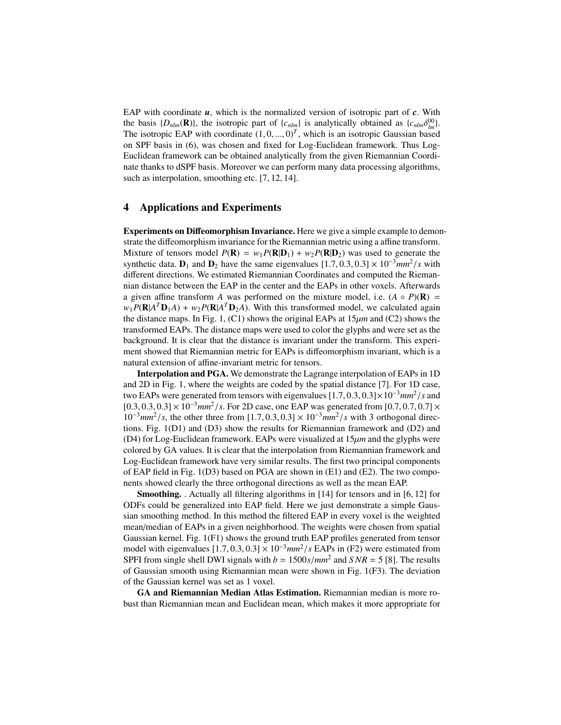EAP with coordinate *u*, which is the normalized version of isotropic part of *c*. With the basis  $\{D_{nlm}(\mathbf{R})\}$ , the isotropic part of  $\{c_{nlm}\}$  is analytically obtained as  $\{c_{nlm}\delta_{lm}^{00}\}$ . The isotropic EAP with coordinate  $(1, 0, ..., 0)^T$ , which is an isotropic Gaussian based on SPF basis in (6), was chosen and fixed for Log-Euclidean framework. Thus Log-Euclidean framework can be obtained analytically from the given Riemannian Coordinate thanks to dSPF basis. Moreover we can perform many data processing algorithms, such as interpolation, smoothing etc. [7, 12, 14].

### 4 Applications and Experiments

Experiments on Diffeomorphism Invariance. Here we give a simple example to demonstrate the diffeomorphism invariance for the Riemannian metric using a affine transform. Mixture of tensors model  $P(\mathbf{R}) = w_1 P(\mathbf{R}|\mathbf{D}_1) + w_2 P(\mathbf{R}|\mathbf{D}_2)$  was used to generate the synthetic data.  $D_1$  and  $D_2$  have the same eigenvalues  $[1.7, 0.3, 0.3] \times 10^{-3}$  mm<sup>2</sup>/s with different directions. We estimated Riemannian Coordinates and computed the Riemannian distance between the EAP in the center and the EAPs in other voxels. Afterwards a given affine transform *A* was performed on the mixture model, i.e.  $(A \circ P)(\mathbf{R}) =$  $w_1 P(R | A^T \mathbf{D}_1 A) + w_2 P(R | A^T \mathbf{D}_2 A)$ . With this transformed model, we calculated again the distance maps. In Fig. 1, (C1) shows the original EAPs at  $15\mu m$  and (C2) shows the transformed EAPs. The distance maps were used to color the glyphs and were set as the background. It is clear that the distance is invariant under the transform. This experiment showed that Riemannian metric for EAPs is diffeomorphism invariant, which is a natural extension of affine-invariant metric for tensors.

Interpolation and PGA. We demonstrate the Lagrange interpolation of EAPs in 1D and 2D in Fig. 1, where the weights are coded by the spatial distance [7]. For 1D case, two EAPs were generated from tensors with eigenvalues [1.7, <sup>0</sup>.3, <sup>0</sup>.3]×10−<sup>3</sup>*mm*<sup>2</sup> /*s* and [0.3, 0.3, 0.3] × 10<sup>-3</sup>*mm<sup>2</sup>/s*. For 2D case, one EAP was generated from [0.7, 0.7, 0.7] ×  $10^{-3}$  $mm^2$ /*s*, the other three from [1.7, 0.3, 0.3] ×  $10^{-3}$  $mm^2$ /*s* with 3 orthogonal directions. Fig. 1(D1) and (D3) show the results for Riemannian framework and (D2) and (D4) for Log-Euclidean framework. EAPs were visualized at 15µ*m* and the glyphs were colored by GA values. It is clear that the interpolation from Riemannian framework and Log-Euclidean framework have very similar results. The first two principal components of EAP field in Fig. 1(D3) based on PGA are shown in (E1) and (E2). The two components showed clearly the three orthogonal directions as well as the mean EAP.

Smoothing. . Actually all filtering algorithms in [14] for tensors and in [6, 12] for ODFs could be generalized into EAP field. Here we just demonstrate a simple Gaussian smoothing method. In this method the filtered EAP in every voxel is the weighted mean/median of EAPs in a given neighborhood. The weights were chosen from spatial Gaussian kernel. Fig. 1(F1) shows the ground truth EAP profiles generated from tensor model with eigenvalues  $[1.7, 0.3, 0.3] \times 10^{-3}$  mm<sup>2</sup>/s EAPs in (F2) were estimated from SPFI from single shell DWI signals with  $b = 1500s/mm^2$  and  $SNR = 5$  [8]. The results of Gaussian smooth using Riemannian mean were shown in Fig. 1(F3). The deviation of the Gaussian kernel was set as 1 voxel.

GA and Riemannian Median Atlas Estimation. Riemannian median is more robust than Riemannian mean and Euclidean mean, which makes it more appropriate for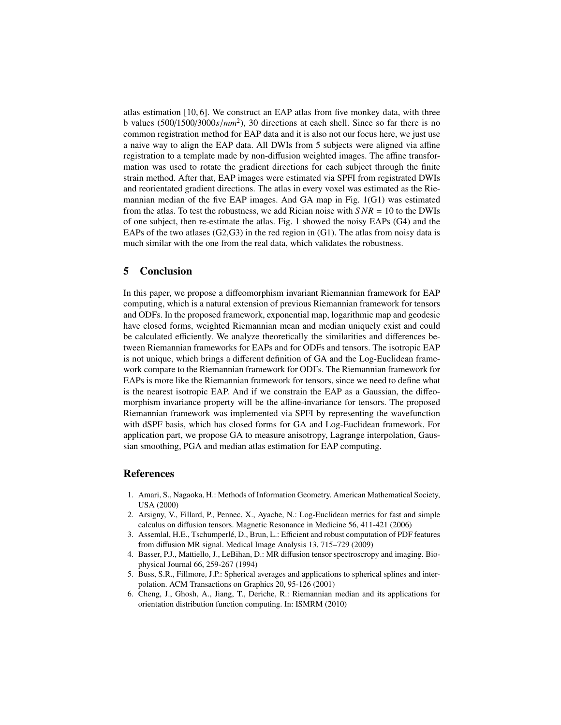atlas estimation [10, 6]. We construct an EAP atlas from five monkey data, with three b values (500/1500/3000*s*/*mm*<sup>2</sup> ), 30 directions at each shell. Since so far there is no common registration method for EAP data and it is also not our focus here, we just use a naive way to align the EAP data. All DWIs from 5 subjects were aligned via affine registration to a template made by non-diffusion weighted images. The affine transformation was used to rotate the gradient directions for each subject through the finite strain method. After that, EAP images were estimated via SPFI from registrated DWIs and reorientated gradient directions. The atlas in every voxel was estimated as the Riemannian median of the five EAP images. And GA map in Fig. 1(G1) was estimated from the atlas. To test the robustness, we add Rician noise with  $SNR = 10$  to the DWIs of one subject, then re-estimate the atlas. Fig. 1 showed the noisy EAPs (G4) and the EAPs of the two atlases  $(G2, G3)$  in the red region in  $(G1)$ . The atlas from noisy data is much similar with the one from the real data, which validates the robustness.

# 5 Conclusion

In this paper, we propose a diffeomorphism invariant Riemannian framework for EAP computing, which is a natural extension of previous Riemannian framework for tensors and ODFs. In the proposed framework, exponential map, logarithmic map and geodesic have closed forms, weighted Riemannian mean and median uniquely exist and could be calculated efficiently. We analyze theoretically the similarities and differences between Riemannian frameworks for EAPs and for ODFs and tensors. The isotropic EAP is not unique, which brings a different definition of GA and the Log-Euclidean framework compare to the Riemannian framework for ODFs. The Riemannian framework for EAPs is more like the Riemannian framework for tensors, since we need to define what is the nearest isotropic EAP. And if we constrain the EAP as a Gaussian, the diffeomorphism invariance property will be the affine-invariance for tensors. The proposed Riemannian framework was implemented via SPFI by representing the wavefunction with dSPF basis, which has closed forms for GA and Log-Euclidean framework. For application part, we propose GA to measure anisotropy, Lagrange interpolation, Gaussian smoothing, PGA and median atlas estimation for EAP computing.

## References

- 1. Amari, S., Nagaoka, H.: Methods of Information Geometry. American Mathematical Society, USA (2000)
- 2. Arsigny, V., Fillard, P., Pennec, X., Ayache, N.: Log-Euclidean metrics for fast and simple calculus on diffusion tensors. Magnetic Resonance in Medicine 56, 411-421 (2006)
- 3. Assemlal, H.E., Tschumperlé, D., Brun, L.: Efficient and robust computation of PDF features from diffusion MR signal. Medical Image Analysis 13, 715–729 (2009)
- 4. Basser, P.J., Mattiello, J., LeBihan, D.: MR diffusion tensor spectroscropy and imaging. Biophysical Journal 66, 259-267 (1994)
- 5. Buss, S.R., Fillmore, J.P.: Spherical averages and applications to spherical splines and interpolation. ACM Transactions on Graphics 20, 95-126 (2001)
- 6. Cheng, J., Ghosh, A., Jiang, T., Deriche, R.: Riemannian median and its applications for orientation distribution function computing. In: ISMRM (2010)